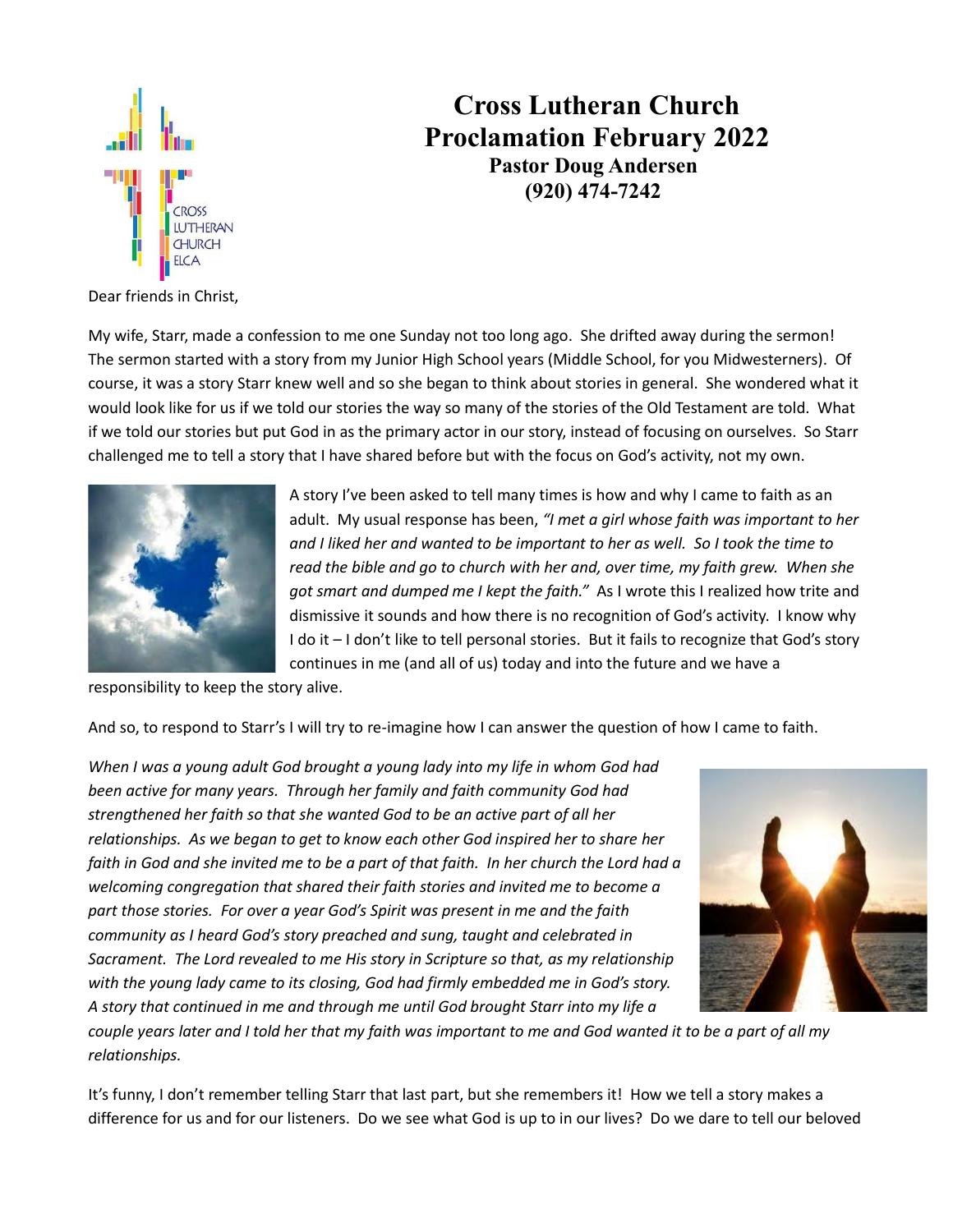

# **Cross Lutheran Church Proclamation February 2022 Pastor Doug Andersen (920) 474-7242**

Dear friends in Christ,

My wife, Starr, made a confession to me one Sunday not too long ago. She drifted away during the sermon! The sermon started with a story from my Junior High School years (Middle School, for you Midwesterners). Of course, it was a story Starr knew well and so she began to think about stories in general. She wondered what it would look like for us if we told our stories the way so many of the stories of the Old Testament are told. What if we told our stories but put God in as the primary actor in our story, instead of focusing on ourselves. So Starr challenged me to tell a story that I have shared before but with the focus on God's activity, not my own.



A story I've been asked to tell many times is how and why I came to faith as an adult. My usual response has been, *"I met a girl whose faith was important to her and I liked her and wanted to be important to her as well. So I took the time to read the bible and go to church with her and, over time, my faith grew. When she got smart and dumped me I kept the faith."* As I wrote this I realized how trite and dismissive it sounds and how there is no recognition of God's activity. I know why I do it – I don't like to tell personal stories. But it fails to recognize that God's story continues in me (and all of us) today and into the future and we have a

responsibility to keep the story alive.

And so, to respond to Starr's I will try to re-imagine how I can answer the question of how I came to faith.

*When I was a young adult God brought a young lady into my life in whom God had been active for many years. Through her family and faith community God had strengthened her faith so that she wanted God to be an active part of all her relationships. As we began to get to know each other God inspired her to share her faith in God and she invited me to be a part of that faith. In her church the Lord had a welcoming congregation that shared their faith stories and invited me to become a part those stories. For over a year God's Spirit was present in me and the faith community as I heard God's story preached and sung, taught and celebrated in Sacrament. The Lord revealed to me His story in Scripture so that, as my relationship with the young lady came to its closing, God had firmly embedded me in God's story. A story that continued in me and through me until God brought Starr into my life a* 



*couple years later and I told her that my faith was important to me and God wanted it to be a part of all my relationships.*

It's funny, I don't remember telling Starr that last part, but she remembers it! How we tell a story makes a difference for us and for our listeners. Do we see what God is up to in our lives? Do we dare to tell our beloved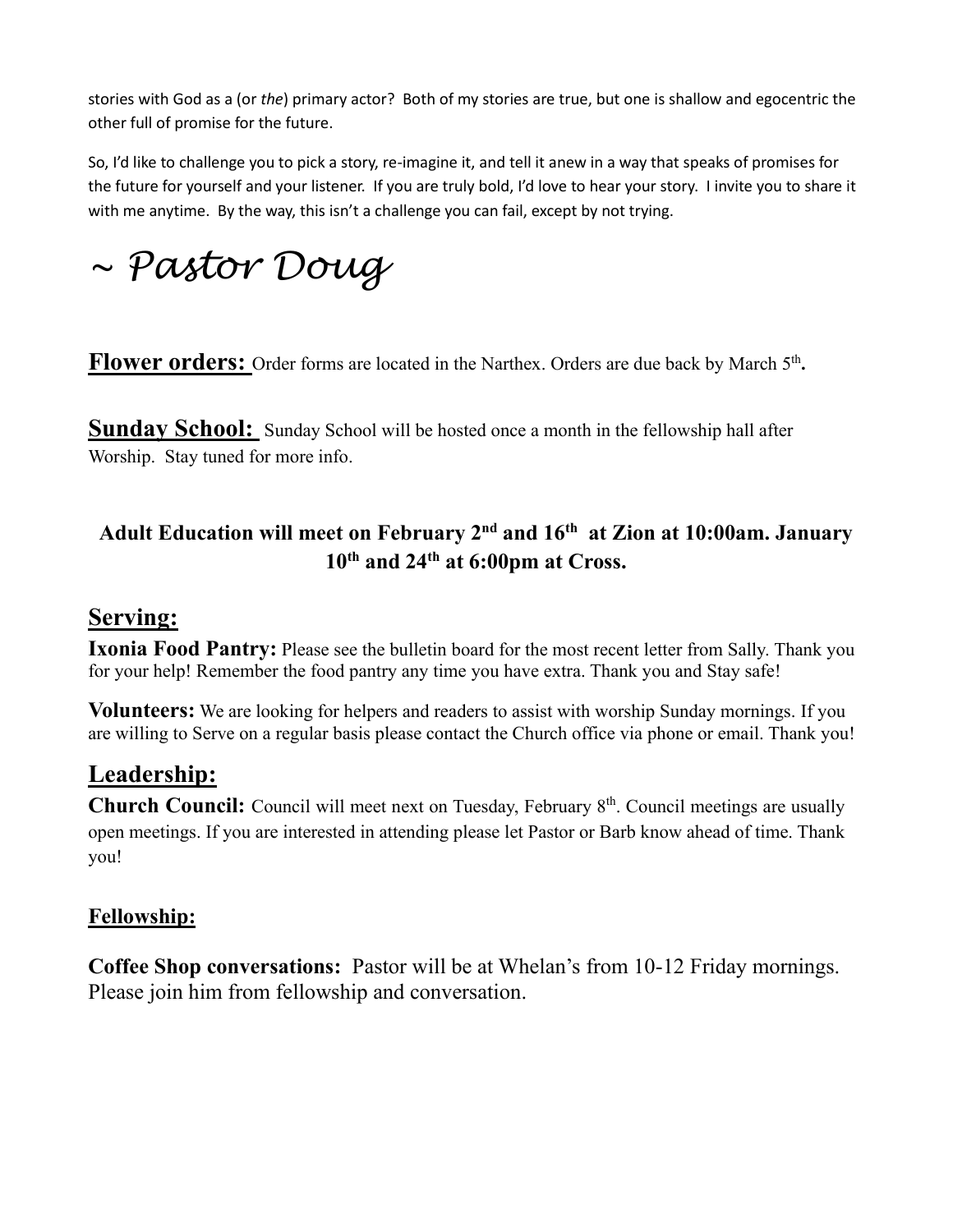stories with God as a (or *the*) primary actor? Both of my stories are true, but one is shallow and egocentric the other full of promise for the future.

So, I'd like to challenge you to pick a story, re-imagine it, and tell it anew in a way that speaks of promises for the future for yourself and your listener. If you are truly bold, I'd love to hear your story. I invite you to share it with me anytime. By the way, this isn't a challenge you can fail, except by not trying.

*~ Pastor Doug*

Flower orders: Order forms are located in the Narthex. Orders are due back by March 5<sup>th</sup>.

**Sunday School:** Sunday School will be hosted once a month in the fellowship hall after Worship. Stay tuned for more info.

## Adult Education will meet on February 2<sup>nd</sup> and 16<sup>th</sup> at Zion at 10:00am. January **10 th and 24 th at 6:00pm at Cross.**

### **Serving:**

**Ixonia Food Pantry:** Please see the bulletin board for the most recent letter from Sally. Thank you for your help! Remember the food pantry any time you have extra. Thank you and Stay safe!

**Volunteers:** We are looking for helpers and readers to assist with worship Sunday mornings. If you are willing to Serve on a regular basis please contact the Church office via phone or email. Thank you!

## **Leadership:**

Church Council: Council will meet next on Tuesday, February 8<sup>th</sup>. Council meetings are usually open meetings. If you are interested in attending please let Pastor or Barb know ahead of time. Thank you!

### **Fellowship:**

**Coffee Shop conversations:** Pastor will be at Whelan's from 10-12 Friday mornings. Please join him from fellowship and conversation.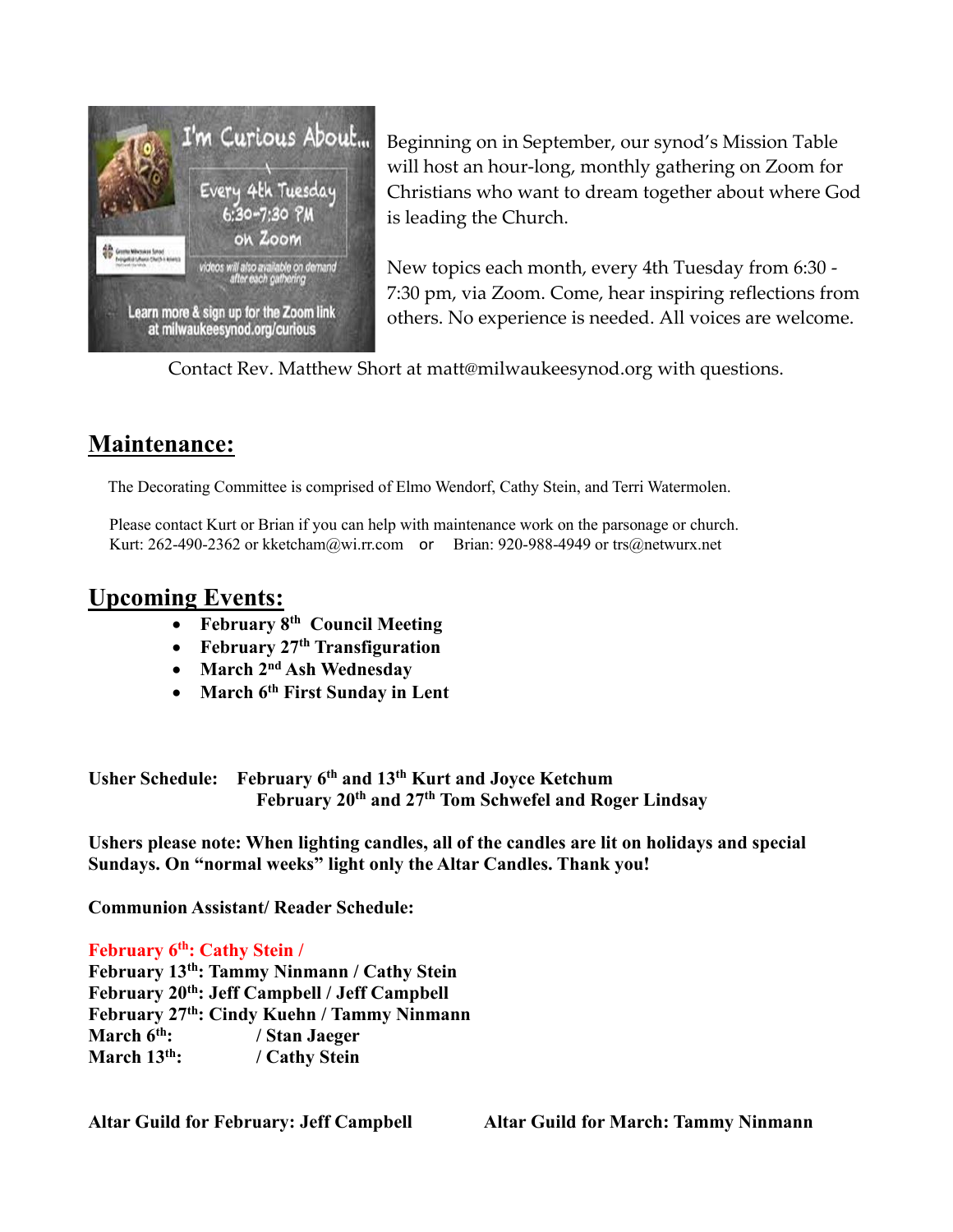

Beginning on in September, our synod's Mission Table will host an hour-long, monthly gathering on Zoom for Christians who want to dream together about where God is leading the Church.

New topics each month, every 4th Tuesday from 6:30 - 7:30 pm, via Zoom. Come, hear inspiring reflections from others. No experience is needed. All voices are welcome.

Contact Rev. Matthew Short at matt@milwaukeesynod.org with questions.

## **Maintenance:**

The Decorating Committee is comprised of Elmo Wendorf, Cathy Stein, and Terri Watermolen.

Please contact Kurt or Brian if you can help with maintenance work on the parsonage or church. Kurt: 262-490-2362 o[r kketcham@wi.rr.com](mailto:kketcham@wi.rr.com) or Brian: 920-988-4949 [or trs@netwurx.net](mailto:or%20trs@netwurx.net)

### **Upcoming Events:**

- **February 8 th Council Meeting**
- **February 27th Transfiguration**
- March 2<sup>nd</sup> Ash Wednesday
- **March 6 th First Sunday in Lent**

**Usher Schedule: February 6 th and 13th Kurt and Joyce Ketchum February 20th and 27th Tom Schwefel and Roger Lindsay** 

**Ushers please note: When lighting candles, all of the candles are lit on holidays and special Sundays. On "normal weeks" light only the Altar Candles. Thank you!** 

**Communion Assistant/ Reader Schedule:**

#### **February 6th: Cathy Stein /**

**February 13th: Tammy Ninmann / Cathy Stein February 20th: Jeff Campbell / Jeff Campbell February 27th: Cindy Kuehn / Tammy Ninmann March 6th: / Stan Jaeger March 13th: / Cathy Stein**